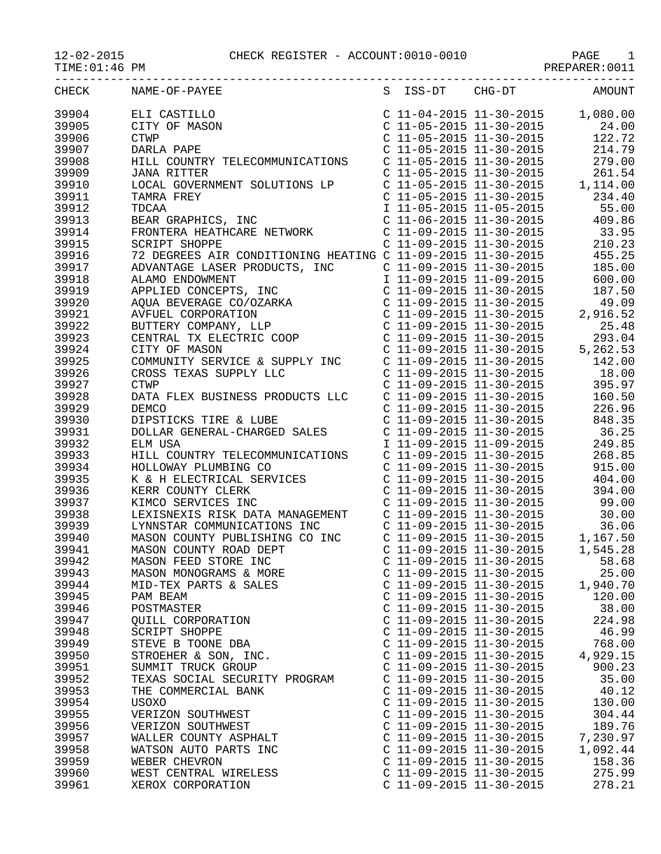## 12-02-2015 CHECK REGISTER - ACCOUNT:0010-0010 PAGE 1

PREPARER:0011

| CHECK | NAME-OF-PAYEE                 |                           |                           | S ISS-DT CHG-DT AMOUNT |
|-------|-------------------------------|---------------------------|---------------------------|------------------------|
| 39904 |                               |                           |                           |                        |
| 39905 |                               |                           |                           |                        |
| 39906 |                               |                           |                           |                        |
| 39907 |                               |                           |                           |                        |
|       |                               |                           |                           |                        |
| 39908 |                               |                           |                           |                        |
| 39909 |                               |                           |                           |                        |
| 39910 |                               |                           |                           |                        |
| 39911 |                               |                           |                           |                        |
| 39912 |                               |                           |                           |                        |
| 39913 |                               |                           |                           |                        |
| 39914 |                               |                           |                           |                        |
| 39915 |                               |                           |                           |                        |
| 39916 |                               |                           |                           |                        |
| 39917 |                               |                           |                           |                        |
|       |                               |                           |                           |                        |
| 39918 |                               |                           |                           |                        |
| 39919 |                               |                           |                           |                        |
| 39920 |                               |                           |                           |                        |
| 39921 |                               |                           |                           |                        |
| 39922 |                               |                           |                           |                        |
| 39923 |                               |                           |                           |                        |
| 39924 |                               |                           |                           |                        |
| 39925 |                               |                           |                           |                        |
| 39926 |                               |                           |                           |                        |
| 39927 |                               |                           |                           |                        |
| 39928 |                               |                           |                           |                        |
|       |                               |                           |                           |                        |
| 39929 |                               |                           |                           |                        |
| 39930 |                               |                           |                           |                        |
| 39931 |                               |                           |                           |                        |
| 39932 |                               |                           |                           |                        |
| 39933 |                               |                           |                           |                        |
| 39934 |                               |                           |                           |                        |
| 39935 |                               |                           |                           |                        |
| 39936 |                               |                           |                           | 394.00                 |
| 39937 |                               |                           |                           |                        |
| 39938 |                               |                           |                           |                        |
| 39939 |                               |                           |                           |                        |
| 39940 |                               |                           |                           |                        |
| 39941 |                               |                           |                           |                        |
|       |                               |                           |                           |                        |
| 39942 | MASON FEED STORE INC          |                           | $C$ 11-09-2015 11-30-2015 | 58.68                  |
| 39943 | MASON MONOGRAMS & MORE        | C 11-09-2015 11-30-2015   |                           | 25.00                  |
| 39944 | MID-TEX PARTS & SALES         | C 11-09-2015 11-30-2015   |                           | 1,940.70               |
| 39945 | PAM BEAM                      | $C$ 11-09-2015 11-30-2015 |                           | 120.00                 |
| 39946 | POSTMASTER                    | C 11-09-2015 11-30-2015   |                           | 38.00                  |
| 39947 | QUILL CORPORATION             | C 11-09-2015 11-30-2015   |                           | 224.98                 |
| 39948 | SCRIPT SHOPPE                 | $C$ 11-09-2015 11-30-2015 |                           | 46.99                  |
| 39949 | STEVE B TOONE DBA             | $C$ 11-09-2015 11-30-2015 |                           | 768.00                 |
| 39950 | STROEHER & SON, INC.          | C 11-09-2015 11-30-2015   |                           | 4,929.15               |
| 39951 | SUMMIT TRUCK GROUP            | C 11-09-2015 11-30-2015   |                           | 900.23                 |
| 39952 | TEXAS SOCIAL SECURITY PROGRAM | C 11-09-2015 11-30-2015   |                           | 35.00                  |
|       |                               | $C$ 11-09-2015 11-30-2015 |                           |                        |
| 39953 | THE COMMERCIAL BANK           |                           |                           | 40.12                  |
| 39954 | USOXO                         | C 11-09-2015 11-30-2015   |                           | 130.00                 |
| 39955 | VERIZON SOUTHWEST             | C 11-09-2015 11-30-2015   |                           | 304.44                 |
| 39956 | VERIZON SOUTHWEST             | $C$ 11-09-2015 11-30-2015 |                           | 189.76                 |
| 39957 | WALLER COUNTY ASPHALT         | C 11-09-2015 11-30-2015   |                           | 7,230.97               |
| 39958 | WATSON AUTO PARTS INC         | C 11-09-2015 11-30-2015   |                           | 1,092.44               |
| 39959 | WEBER CHEVRON                 | C 11-09-2015 11-30-2015   |                           | 158.36                 |
| 39960 | WEST CENTRAL WIRELESS         | C 11-09-2015 11-30-2015   |                           | 275.99                 |
| 39961 | XEROX CORPORATION             | C 11-09-2015 11-30-2015   |                           | 278.21                 |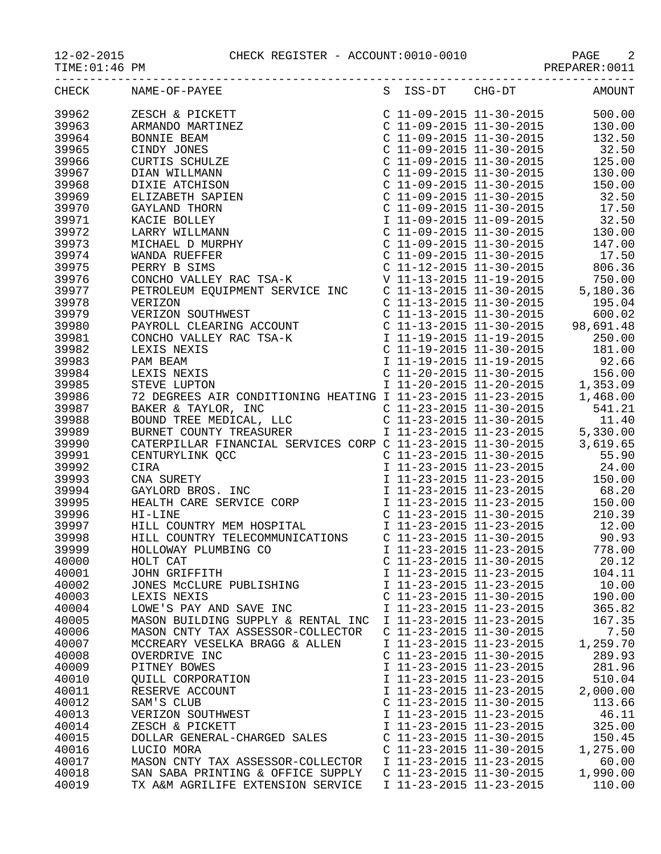2 CHECK REGISTER - ACCOUNT:0010-0010 PAGE 2<br>PREPARER:0011

| $12 - 02 - 2015$ |  |
|------------------|--|
| TIME: 01:46 PM   |  |

|       | CHECK NAME-OF-PAYEE                |                           |                           | S ISS-DT CHG-DT AMOUNT |
|-------|------------------------------------|---------------------------|---------------------------|------------------------|
|       |                                    |                           |                           |                        |
|       |                                    |                           |                           |                        |
|       |                                    |                           |                           |                        |
|       |                                    |                           |                           |                        |
|       |                                    |                           |                           |                        |
|       |                                    |                           |                           |                        |
|       |                                    |                           |                           |                        |
|       |                                    |                           |                           |                        |
|       |                                    |                           |                           |                        |
|       |                                    |                           |                           |                        |
|       |                                    |                           |                           |                        |
|       |                                    |                           |                           |                        |
|       |                                    |                           |                           |                        |
|       |                                    |                           |                           |                        |
|       |                                    |                           |                           |                        |
|       |                                    |                           |                           |                        |
|       |                                    |                           |                           |                        |
|       |                                    |                           |                           |                        |
|       |                                    |                           |                           |                        |
|       |                                    |                           |                           |                        |
|       |                                    |                           |                           |                        |
|       |                                    |                           |                           |                        |
|       |                                    |                           |                           |                        |
|       |                                    |                           |                           |                        |
|       |                                    |                           |                           |                        |
|       |                                    |                           |                           |                        |
|       |                                    |                           |                           |                        |
|       |                                    |                           |                           |                        |
|       |                                    |                           |                           |                        |
|       |                                    |                           |                           |                        |
|       |                                    |                           |                           |                        |
|       |                                    |                           |                           |                        |
|       |                                    |                           |                           |                        |
|       |                                    |                           |                           |                        |
|       |                                    |                           |                           |                        |
|       |                                    |                           |                           |                        |
|       |                                    |                           |                           |                        |
|       |                                    |                           |                           |                        |
|       |                                    |                           |                           |                        |
| 40000 | HOLT CAT                           |                           | $C$ 11-23-2015 11-30-2015 | 20.12                  |
| 40001 | JOHN GRIFFITH                      | I 11-23-2015 11-23-2015   |                           | 104.11                 |
| 40002 | JONES MCCLURE PUBLISHING           | I 11-23-2015 11-23-2015   |                           | 10.00                  |
| 40003 | LEXIS NEXIS                        | $C$ 11-23-2015 11-30-2015 |                           | 190.00                 |
| 40004 | LOWE'S PAY AND SAVE INC            | I 11-23-2015 11-23-2015   |                           | 365.82                 |
| 40005 | MASON BUILDING SUPPLY & RENTAL INC | I 11-23-2015 11-23-2015   |                           | 167.35                 |
|       | MASON CNTY TAX ASSESSOR-COLLECTOR  | C 11-23-2015 11-30-2015   |                           | 7.50                   |
| 40006 |                                    |                           |                           |                        |
| 40007 | MCCREARY VESELKA BRAGG & ALLEN     | I 11-23-2015 11-23-2015   |                           | 1,259.70               |
| 40008 | OVERDRIVE INC                      | $C$ 11-23-2015 11-30-2015 |                           | 289.93                 |
| 40009 | PITNEY BOWES                       | I 11-23-2015 11-23-2015   |                           | 281.96                 |
| 40010 | OUILL CORPORATION                  | I 11-23-2015 11-23-2015   |                           | 510.04                 |
| 40011 | RESERVE ACCOUNT                    | I 11-23-2015 11-23-2015   |                           | 2,000.00               |
| 40012 | SAM'S CLUB                         | C 11-23-2015 11-30-2015   |                           | 113.66                 |
| 40013 | VERIZON SOUTHWEST                  | I 11-23-2015 11-23-2015   |                           | 46.11                  |
| 40014 | ZESCH & PICKETT                    | I 11-23-2015 11-23-2015   |                           | 325.00                 |
| 40015 | DOLLAR GENERAL-CHARGED SALES       | $C$ 11-23-2015 11-30-2015 |                           | 150.45                 |
| 40016 | LUCIO MORA                         | $C$ 11-23-2015 11-30-2015 |                           | 1,275.00               |
| 40017 | MASON CNTY TAX ASSESSOR-COLLECTOR  | I 11-23-2015 11-23-2015   |                           | 60.00                  |
| 40018 | SAN SABA PRINTING & OFFICE SUPPLY  | $C$ 11-23-2015 11-30-2015 |                           | 1,990.00               |
| 40019 | TX A&M AGRILIFE EXTENSION SERVICE  | I 11-23-2015 11-23-2015   |                           | 110.00                 |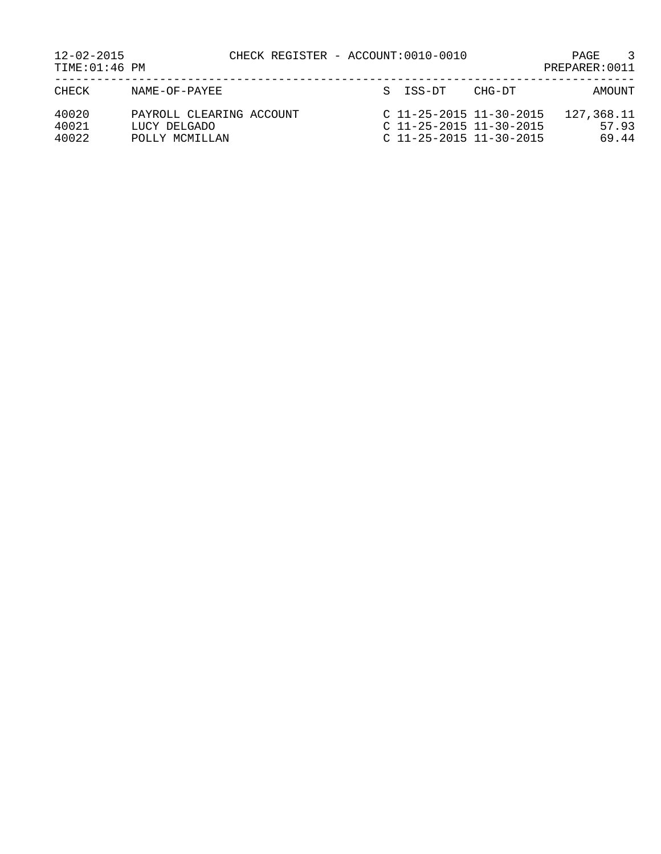| $12 - 02 - 2015$<br>TIME:01:46 PM |                                                            | CHECK REGISTER - ACCOUNT:0010-0010 |                                                                                     |        | $\mathcal{R}$<br>PAGE<br>PREPARER: 0011 |
|-----------------------------------|------------------------------------------------------------|------------------------------------|-------------------------------------------------------------------------------------|--------|-----------------------------------------|
| CHECK                             | NAME-OF-PAYEE                                              |                                    | S ISS-DT                                                                            | CHG-DT | AMOUNT                                  |
| 40020<br>40021<br>40022           | PAYROLL CLEARING ACCOUNT<br>LUCY DELGADO<br>POLLY MCMILLAN |                                    | $C$ 11-25-2015 11-30-2015<br>$C$ 11-25-2015 11-30-2015<br>$C$ 11-25-2015 11-30-2015 |        | 127,368.11<br>57.93<br>69.44            |